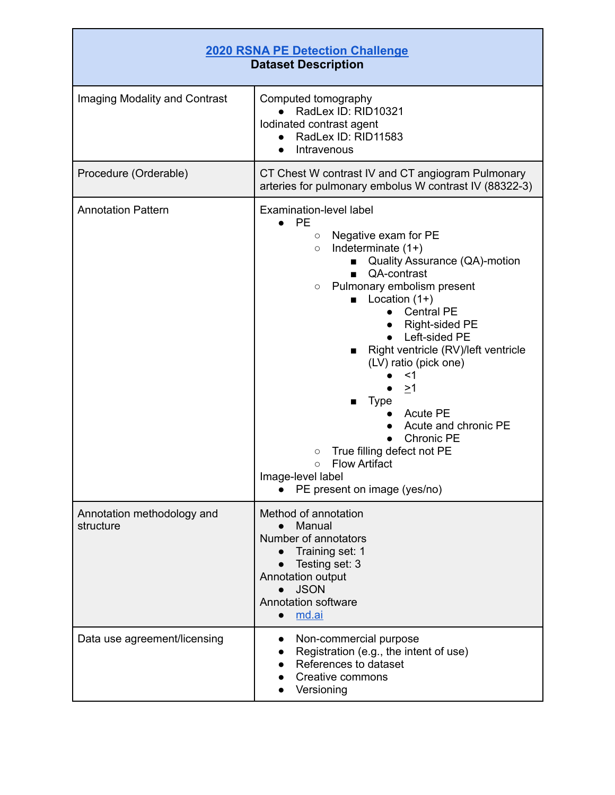| <b>2020 RSNA PE Detection Challenge</b><br><b>Dataset Description</b> |                                                                                                                                                                                                                                                                                                                                                                                                                                                                                                                                                                                                   |
|-----------------------------------------------------------------------|---------------------------------------------------------------------------------------------------------------------------------------------------------------------------------------------------------------------------------------------------------------------------------------------------------------------------------------------------------------------------------------------------------------------------------------------------------------------------------------------------------------------------------------------------------------------------------------------------|
| Imaging Modality and Contrast                                         | Computed tomography<br>RadLex ID: RID10321<br>lodinated contrast agent<br>RadLex ID: RID11583<br>$\bullet$<br>Intravenous<br>$\bullet$                                                                                                                                                                                                                                                                                                                                                                                                                                                            |
| Procedure (Orderable)                                                 | CT Chest W contrast IV and CT angiogram Pulmonary<br>arteries for pulmonary embolus W contrast IV (88322-3)                                                                                                                                                                                                                                                                                                                                                                                                                                                                                       |
| <b>Annotation Pattern</b>                                             | Examination-level label<br><b>PE</b><br>Negative exam for PE<br>$\circ$<br>Indeterminate $(1+)$<br>$\circ$<br>Quality Assurance (QA)-motion<br>QA-contrast<br>Pulmonary embolism present<br>$\circ$<br>Location $(1+)$<br>٠<br><b>Central PE</b><br>Right-sided PE<br>Left-sided PE<br>Right ventricle (RV)/left ventricle<br>■<br>(LV) ratio (pick one)<br><1<br>$\geq$ 1<br><b>Type</b><br><b>Acute PE</b><br>Acute and chronic PE<br><b>Chronic PE</b><br>$\bullet$<br>True filling defect not PE<br>О<br><b>Flow Artifact</b><br>$\circ$<br>Image-level label<br>PE present on image (yes/no) |
| Annotation methodology and<br>structure                               | Method of annotation<br>Manual<br>Number of annotators<br>Training set: 1<br>Testing set: 3<br>Annotation output<br><b>JSON</b><br>$\bullet$<br><b>Annotation software</b><br>md.ai<br>$\bullet$                                                                                                                                                                                                                                                                                                                                                                                                  |
| Data use agreement/licensing                                          | Non-commercial purpose<br>Registration (e.g., the intent of use)<br>References to dataset<br>Creative commons<br>Versioning                                                                                                                                                                                                                                                                                                                                                                                                                                                                       |